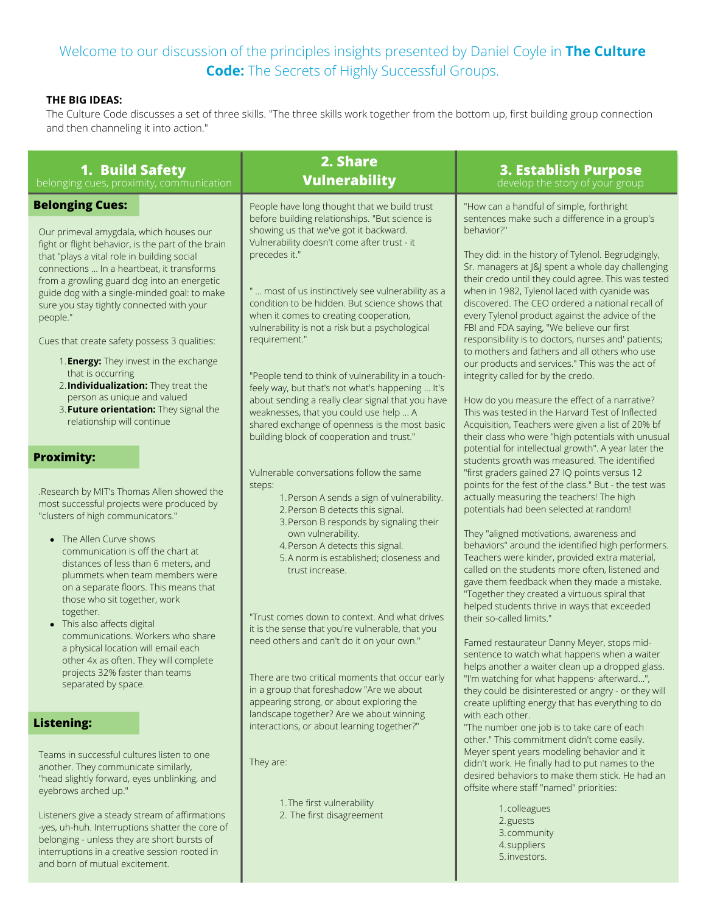## Welcome to our discussion of the principles insights presented by Daniel Coyle in **The Culture Code:** The Secrets of Highly Successful Groups.

## **THE BIG IDEAS:**

The Culture Code discusses a set of three skills. "The three skills work together from the bottom up, first building group connection and then channeling it into action."

| 1. Build Safety<br>belonging cues, proximity, communication                                                                                                                                                                                                                                                                                                                                                                                                                                                                                                                                                                                                            | 2. Share<br><b>Vulnerability</b>                                                                                                                                                                                                                                                                                                                                                                                                                                                                                                                                                                                                                                                                                                                                                  |                                                                                                                                                                                                                                                                                                                                                                                                                                                                                                                                                                                                                                                                                                                                                                                                                                                                                                                                                                                                                                                        |
|------------------------------------------------------------------------------------------------------------------------------------------------------------------------------------------------------------------------------------------------------------------------------------------------------------------------------------------------------------------------------------------------------------------------------------------------------------------------------------------------------------------------------------------------------------------------------------------------------------------------------------------------------------------------|-----------------------------------------------------------------------------------------------------------------------------------------------------------------------------------------------------------------------------------------------------------------------------------------------------------------------------------------------------------------------------------------------------------------------------------------------------------------------------------------------------------------------------------------------------------------------------------------------------------------------------------------------------------------------------------------------------------------------------------------------------------------------------------|--------------------------------------------------------------------------------------------------------------------------------------------------------------------------------------------------------------------------------------------------------------------------------------------------------------------------------------------------------------------------------------------------------------------------------------------------------------------------------------------------------------------------------------------------------------------------------------------------------------------------------------------------------------------------------------------------------------------------------------------------------------------------------------------------------------------------------------------------------------------------------------------------------------------------------------------------------------------------------------------------------------------------------------------------------|
| <b>Belonging Cues:</b><br>Our primeval amygdala, which houses our<br>fight or flight behavior, is the part of the brain<br>that "plays a vital role in building social<br>connections  In a heartbeat, it transforms<br>from a growling guard dog into an energetic<br>guide dog with a single-minded goal: to make<br>sure you stay tightly connected with your<br>people."<br>Cues that create safety possess 3 qualities:<br>1. <b>Energy:</b> They invest in the exchange<br>that is occurring<br>2. Individualization: They treat the<br>person as unique and valued<br>3. Future orientation: They signal the<br>relationship will continue<br><b>Proximity:</b> | People have long thought that we build trust<br>before building relationships. "But science is<br>showing us that we've got it backward.<br>Vulnerability doesn't come after trust - it<br>precedes it."<br>"  most of us instinctively see vulnerability as a<br>condition to be hidden. But science shows that<br>when it comes to creating cooperation,<br>vulnerability is not a risk but a psychological<br>requirement."<br>"People tend to think of vulnerability in a touch-<br>feely way, but that's not what's happening  It's<br>about sending a really clear signal that you have<br>weaknesses, that you could use help  A<br>shared exchange of openness is the most basic<br>building block of cooperation and trust."<br>Vulnerable conversations follow the same | "How can a handful of simple, forthright<br>sentences make such a difference in a group's<br>behavior?"<br>They did: in the history of Tylenol. Begrudgingly,<br>Sr. managers at J&J spent a whole day challenging<br>their credo until they could agree. This was tested<br>when in 1982, Tylenol laced with cyanide was<br>discovered. The CEO ordered a national recall of<br>every Tylenol product against the advice of the<br>FBI and FDA saying, "We believe our first<br>responsibility is to doctors, nurses and' patients;<br>to mothers and fathers and all others who use<br>our products and services." This was the act of<br>integrity called for by the credo.<br>How do you measure the effect of a narrative?<br>This was tested in the Harvard Test of Inflected<br>Acquisition, Teachers were given a list of 20% bf<br>their class who were "high potentials with unusual<br>potential for intellectual growth". A year later the<br>students growth was measured. The identified<br>"first graders gained 27 IQ points versus 12 |
| .Research by MIT's Thomas Allen showed the<br>most successful projects were produced by<br>"clusters of high communicators."<br>• The Allen Curve shows<br>communication is off the chart at<br>distances of less than 6 meters, and<br>plummets when team members were<br>on a separate floors. This means that<br>those who sit together, work<br>together.<br>• This also affects digital<br>communications. Workers who share<br>a physical location will email each<br>other 4x as often. They will complete<br>projects 32% faster than teams<br>separated by space.                                                                                             | steps:<br>1. Person A sends a sign of vulnerability.<br>2. Person B detects this signal.<br>3. Person B responds by signaling their<br>own vulnerability.<br>4. Person A detects this signal.<br>5.A norm is established; closeness and<br>trust increase.<br>"Trust comes down to context. And what drives<br>it is the sense that you're vulnerable, that you<br>need others and can't do it on your own."<br>There are two critical moments that occur early<br>in a group that foreshadow "Are we about<br>appearing strong, or about exploring the<br>landscape together? Are we about winning                                                                                                                                                                               | points for the fest of the class." But - the test was<br>actually measuring the teachers! The high<br>potentials had been selected at random!<br>They "aligned motivations, awareness and<br>behaviors" around the identified high performers.<br>Teachers were kinder, provided extra material,<br>called on the students more often, listened and<br>gave them feedback when they made a mistake.<br>"Together they created a virtuous spiral that<br>helped students thrive in ways that exceeded<br>their so-called limits."<br>Famed restaurateur Danny Meyer, stops mid-<br>sentence to watch what happens when a waiter<br>helps another a waiter clean up a dropped glass.<br>"I'm watching for what happens· afterward",<br>they could be disinterested or angry - or they will<br>create uplifting energy that has everything to do                                                                                                                                                                                                          |
| <b>Listening:</b><br>interactions, or about learning together?"<br>Teams in successful cultures listen to one<br>They are:<br>another. They communicate similarly,<br>"head slightly forward, eyes unblinking, and<br>eyebrows arched up."<br>1. The first vulnerability<br>2. The first disagreement<br>Listeners give a steady stream of affirmations<br>-yes, uh-huh. Interruptions shatter the core of<br>belonging - unless they are short bursts of<br>interruptions in a creative session rooted in<br>and born of mutual excitement.                                                                                                                           |                                                                                                                                                                                                                                                                                                                                                                                                                                                                                                                                                                                                                                                                                                                                                                                   | with each other.<br>"The number one job is to take care of each<br>other." This commitment didn't come easily.<br>Meyer spent years modeling behavior and it<br>didn't work. He finally had to put names to the<br>desired behaviors to make them stick. He had an<br>offsite where staff "named" priorities:<br>1.colleagues<br>2.guests<br>3. community<br>4.suppliers<br>5. investors.                                                                                                                                                                                                                                                                                                                                                                                                                                                                                                                                                                                                                                                              |